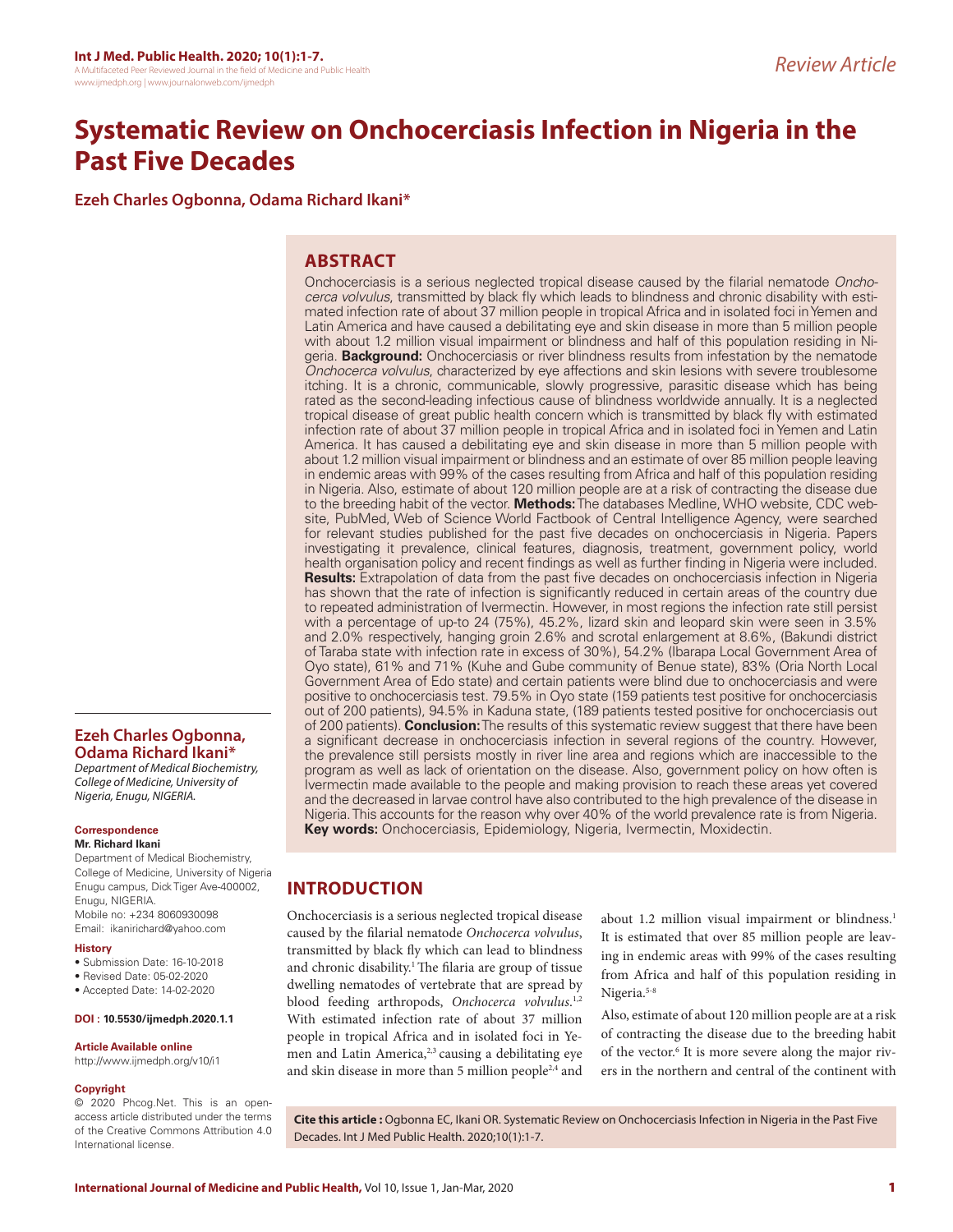# **Systematic Review on Onchocerciasis Infection in Nigeria in the Past Five Decades**

**Ezeh Charles Ogbonna, Odama Richard Ikani\***

## **ABSTRACT**

Onchocerciasis is a serious neglected tropical disease caused by the filarial nematode *Onchocerca volvulus*, transmitted by black fly which leads to blindness and chronic disability with estimated infection rate of about 37 million people in tropical Africa and in isolated foci in Yemen and Latin America and have caused a debilitating eye and skin disease in more than 5 million people with about 1.2 million visual impairment or blindness and half of this population residing in Nigeria. **Background:** Onchocerciasis or river blindness results from infestation by the nematode *Onchocerca volvulus*, characterized by eye affections and skin lesions with severe troublesome itching. It is a chronic, communicable, slowly progressive, parasitic disease which has being rated as the second-leading infectious cause of blindness worldwide annually. It is a neglected tropical disease of great public health concern which is transmitted by black fly with estimated infection rate of about 37 million people in tropical Africa and in isolated foci in Yemen and Latin America. It has caused a debilitating eye and skin disease in more than 5 million people with about 1.2 million visual impairment or blindness and an estimate of over 85 million people leaving in endemic areas with 99% of the cases resulting from Africa and half of this population residing in Nigeria. Also, estimate of about 120 million people are at a risk of contracting the disease due to the breeding habit of the vector. **Methods:** The databases Medline, WHO website, CDC website, PubMed, Web of Science World Factbook of Central Intelligence Agency, were searched for relevant studies published for the past five decades on onchocerciasis in Nigeria. Papers investigating it prevalence, clinical features, diagnosis, treatment, government policy, world health organisation policy and recent findings as well as further finding in Nigeria were included. **Results:** Extrapolation of data from the past five decades on onchocerciasis infection in Nigeria has shown that the rate of infection is significantly reduced in certain areas of the country due to repeated administration of Ivermectin. However, in most regions the infection rate still persist with a percentage of up-to 24 (75%), 45.2%, lizard skin and leopard skin were seen in 3.5% and 2.0% respectively, hanging groin 2.6% and scrotal enlargement at 8.6%, (Bakundi district of Taraba state with infection rate in excess of 30%), 54.2% (Ibarapa Local Government Area of Oyo state), 61% and 71% (Kuhe and Gube community of Benue state), 83% (Oria North Local Government Area of Edo state) and certain patients were blind due to onchocerciasis and were positive to onchocerciasis test. 79.5% in Oyo state (159 patients test positive for onchocerciasis out of 200 patients), 94.5% in Kaduna state, (189 patients tested positive for onchocerciasis out of 200 patients). **Conclusion:** The results of this systematic review suggest that there have been a significant decrease in onchocerciasis infection in several regions of the country. However, the prevalence still persists mostly in river line area and regions which are inaccessible to the program as well as lack of orientation on the disease. Also, government policy on how often is Ivermectin made available to the people and making provision to reach these areas yet covered and the decreased in larvae control have also contributed to the high prevalence of the disease in Nigeria. This accounts for the reason why over 40% of the world prevalence rate is from Nigeria. **Key words:** Onchocerciasis, Epidemiology, Nigeria, Ivermectin, Moxidectin.

## **INTRODUCTION**

Onchocerciasis is a serious neglected tropical disease caused by the filarial nematode *Onchocerca volvulus*, transmitted by black fly which can lead to blindness and chronic disability.<sup>1</sup> The filaria are group of tissue dwelling nematodes of vertebrate that are spread by blood feeding arthropods, *Onchocerca volvulus*. 1,2 With estimated infection rate of about 37 million people in tropical Africa and in isolated foci in Yemen and Latin America,<sup>2,3</sup> causing a debilitating eye and skin disease in more than 5 million people<sup>2,4</sup> and

about 1.2 million visual impairment or blindness.<sup>1</sup> It is estimated that over 85 million people are leaving in endemic areas with 99% of the cases resulting from Africa and half of this population residing in Nigeria.<sup>5-8</sup>

Also, estimate of about 120 million people are at a risk of contracting the disease due to the breeding habit of the vector.<sup>6</sup> It is more severe along the major rivers in the northern and central of the continent with

**Article Available online**  http://www.ijmedph.org/v10/i1

**Ezeh Charles Ogbonna, Odama Richard Ikani\*** *Department of Medical Biochemistry, College of Medicine, University of Nigeria, Enugu, NIGERIA.*

Department of Medical Biochemistry, College of Medicine, University of Nigeria Enugu campus, Dick Tiger Ave-400002,

Mobile no: +234 8060930098 Email: ikanirichard@yahoo.com

• Submission Date: 16-10-2018 • Revised Date: 05-02-2020 • Accepted Date: 14-02-2020 **DOI : 10.5530/ijmedph.2020.1.1**

**Correspondence Mr. Richard Ikani**

Enugu, NIGERIA.

**History**

#### **Copyright**

© 2020 Phcog.Net. This is an openaccess article distributed under the terms of the Creative Commons Attribution 4.0 International license.

**Cite this article :** Ogbonna EC, Ikani OR. Systematic Review on Onchocerciasis Infection in Nigeria in the Past Five Decades. Int J Med Public Health. 2020;10(1):1-7.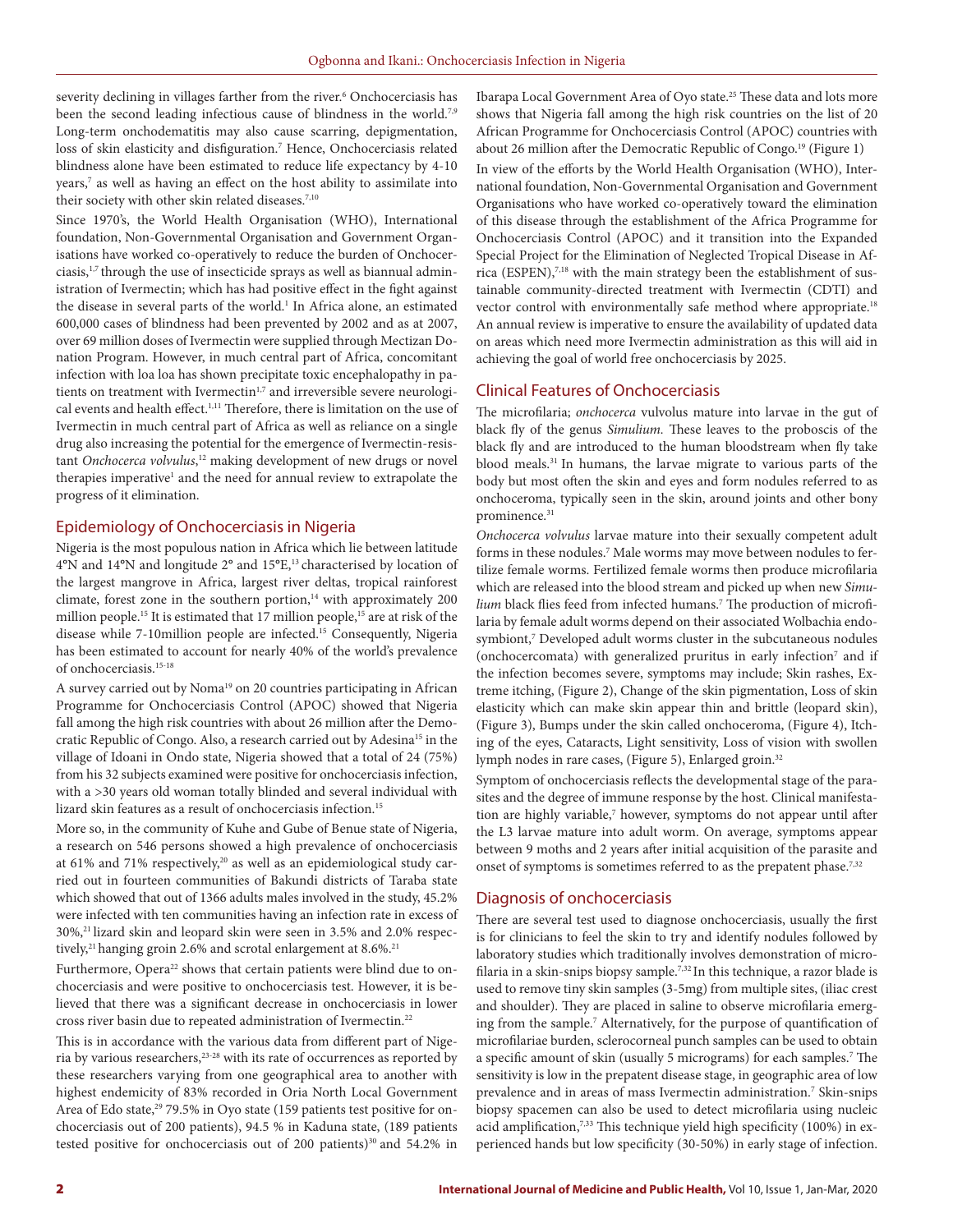severity declining in villages farther from the river.<sup>6</sup> Onchocerciasis has been the second leading infectious cause of blindness in the world.<sup>7,9</sup> Long-term onchodematitis may also cause scarring, depigmentation, loss of skin elasticity and disfiguration.<sup>7</sup> Hence, Onchocerciasis related blindness alone have been estimated to reduce life expectancy by 4-10 years,7 as well as having an effect on the host ability to assimilate into their society with other skin related diseases.<sup>7,10</sup>

Since 1970's, the World Health Organisation (WHO), International foundation, Non-Governmental Organisation and Government Organisations have worked co-operatively to reduce the burden of Onchocerciasis,1,7 through the use of insecticide sprays as well as biannual administration of Ivermectin; which has had positive effect in the fight against the disease in several parts of the world.<sup>1</sup> In Africa alone, an estimated 600,000 cases of blindness had been prevented by 2002 and as at 2007, over 69 million doses of Ivermectin were supplied through Mectizan Donation Program. However, in much central part of Africa, concomitant infection with loa loa has shown precipitate toxic encephalopathy in patients on treatment with Ivermectin<sup>1,7</sup> and irreversible severe neurological events and health effect.1,11 Therefore, there is limitation on the use of Ivermectin in much central part of Africa as well as reliance on a single drug also increasing the potential for the emergence of Ivermectin-resistant *Onchocerca volvulus*, <sup>12</sup> making development of new drugs or novel therapies imperative<sup>1</sup> and the need for annual review to extrapolate the progress of it elimination.

## Epidemiology of Onchocerciasis in Nigeria

Nigeria is the most populous nation in Africa which lie between latitude 4°N and 14°N and longitude 2° and 15°E,13 characterised by location of the largest mangrove in Africa, largest river deltas, tropical rainforest climate, forest zone in the southern portion,<sup>14</sup> with approximately 200 million people.<sup>15</sup> It is estimated that 17 million people,<sup>15</sup> are at risk of the disease while 7-10million people are infected.15 Consequently, Nigeria has been estimated to account for nearly 40% of the world's prevalence of onchocerciasis.<sup>15-18</sup>

A survey carried out by Noma<sup>19</sup> on 20 countries participating in African Programme for Onchocerciasis Control (APOC) showed that Nigeria fall among the high risk countries with about 26 million after the Democratic Republic of Congo. Also, a research carried out by Adesina<sup>15</sup> in the village of Idoani in Ondo state, Nigeria showed that a total of 24 (75%) from his 32 subjects examined were positive for onchocerciasis infection, with a >30 years old woman totally blinded and several individual with lizard skin features as a result of onchocerciasis infection.15

More so, in the community of Kuhe and Gube of Benue state of Nigeria, a research on 546 persons showed a high prevalence of onchocerciasis at 61% and 71% respectively,<sup>20</sup> as well as an epidemiological study carried out in fourteen communities of Bakundi districts of Taraba state which showed that out of 1366 adults males involved in the study, 45.2% were infected with ten communities having an infection rate in excess of 30%,21 lizard skin and leopard skin were seen in 3.5% and 2.0% respectively,<sup>21</sup> hanging groin 2.6% and scrotal enlargement at  $8.6\%$ <sup>21</sup>

Furthermore, Opera<sup>22</sup> shows that certain patients were blind due to onchocerciasis and were positive to onchocerciasis test. However, it is believed that there was a significant decrease in onchocerciasis in lower cross river basin due to repeated administration of Ivermectin.22

This is in accordance with the various data from different part of Nigeria by various researchers,<sup>23-28</sup> with its rate of occurrences as reported by these researchers varying from one geographical area to another with highest endemicity of 83% recorded in Oria North Local Government Area of Edo state,<sup>29</sup> 79.5% in Oyo state (159 patients test positive for onchocerciasis out of 200 patients), 94.5 % in Kaduna state, (189 patients tested positive for onchocerciasis out of 200 patients)<sup>30</sup> and 54.2% in Ibarapa Local Government Area of Oyo state.25 These data and lots more shows that Nigeria fall among the high risk countries on the list of 20 African Programme for Onchocerciasis Control (APOC) countries with about 26 million after the Democratic Republic of Congo.<sup>19</sup> (Figure 1)

In view of the efforts by the World Health Organisation (WHO), International foundation, Non-Governmental Organisation and Government Organisations who have worked co-operatively toward the elimination of this disease through the establishment of the Africa Programme for Onchocerciasis Control (APOC) and it transition into the Expanded Special Project for the Elimination of Neglected Tropical Disease in Africa (ESPEN),<sup>7,18</sup> with the main strategy been the establishment of sustainable community-directed treatment with Ivermectin (CDTI) and vector control with environmentally safe method where appropriate.<sup>18</sup> An annual review is imperative to ensure the availability of updated data on areas which need more Ivermectin administration as this will aid in achieving the goal of world free onchocerciasis by 2025.

## Clinical Features of Onchocerciasis

The microfilaria; *onchocerca* vulvolus mature into larvae in the gut of black fly of the genus *Simulium.* These leaves to the proboscis of the black fly and are introduced to the human bloodstream when fly take blood meals.<sup>31</sup> In humans, the larvae migrate to various parts of the body but most often the skin and eyes and form nodules referred to as onchoceroma, typically seen in the skin, around joints and other bony prominence.<sup>31</sup>

*Onchocerca volvulus* larvae mature into their sexually competent adult forms in these nodules.<sup>7</sup> Male worms may move between nodules to fertilize female worms. Fertilized female worms then produce microfilaria which are released into the blood stream and picked up when new *Simulium* black flies feed from infected humans.<sup>7</sup> The production of microfilaria by female adult worms depend on their associated Wolbachia endosymbiont,<sup>7</sup> Developed adult worms cluster in the subcutaneous nodules (onchocercomata) with generalized pruritus in early infection<sup>7</sup> and if the infection becomes severe, symptoms may include; Skin rashes, Extreme itching, (Figure 2), Change of the skin pigmentation, Loss of skin elasticity which can make skin appear thin and brittle (leopard skin), (Figure 3), Bumps under the skin called onchoceroma, (Figure 4), Itching of the eyes, Cataracts, Light sensitivity, Loss of vision with swollen lymph nodes in rare cases, (Figure 5), Enlarged groin.<sup>32</sup>

Symptom of onchocerciasis reflects the developmental stage of the parasites and the degree of immune response by the host. Clinical manifestation are highly variable,<sup>7</sup> however, symptoms do not appear until after the L3 larvae mature into adult worm. On average, symptoms appear between 9 moths and 2 years after initial acquisition of the parasite and onset of symptoms is sometimes referred to as the prepatent phase.<sup>7,32</sup>

## Diagnosis of onchocerciasis

There are several test used to diagnose onchocerciasis, usually the first is for clinicians to feel the skin to try and identify nodules followed by laboratory studies which traditionally involves demonstration of microfilaria in a skin-snips biopsy sample.<sup>7,32</sup> In this technique, a razor blade is used to remove tiny skin samples (3-5mg) from multiple sites, (iliac crest and shoulder). They are placed in saline to observe microfilaria emerging from the sample.<sup>7</sup> Alternatively, for the purpose of quantification of microfilariae burden, sclerocorneal punch samples can be used to obtain a specific amount of skin (usually 5 micrograms) for each samples.<sup>7</sup> The sensitivity is low in the prepatent disease stage, in geographic area of low prevalence and in areas of mass Ivermectin administration.7 Skin-snips biopsy spacemen can also be used to detect microfilaria using nucleic acid amplification,<sup>7,33</sup> This technique yield high specificity (100%) in experienced hands but low specificity (30-50%) in early stage of infection.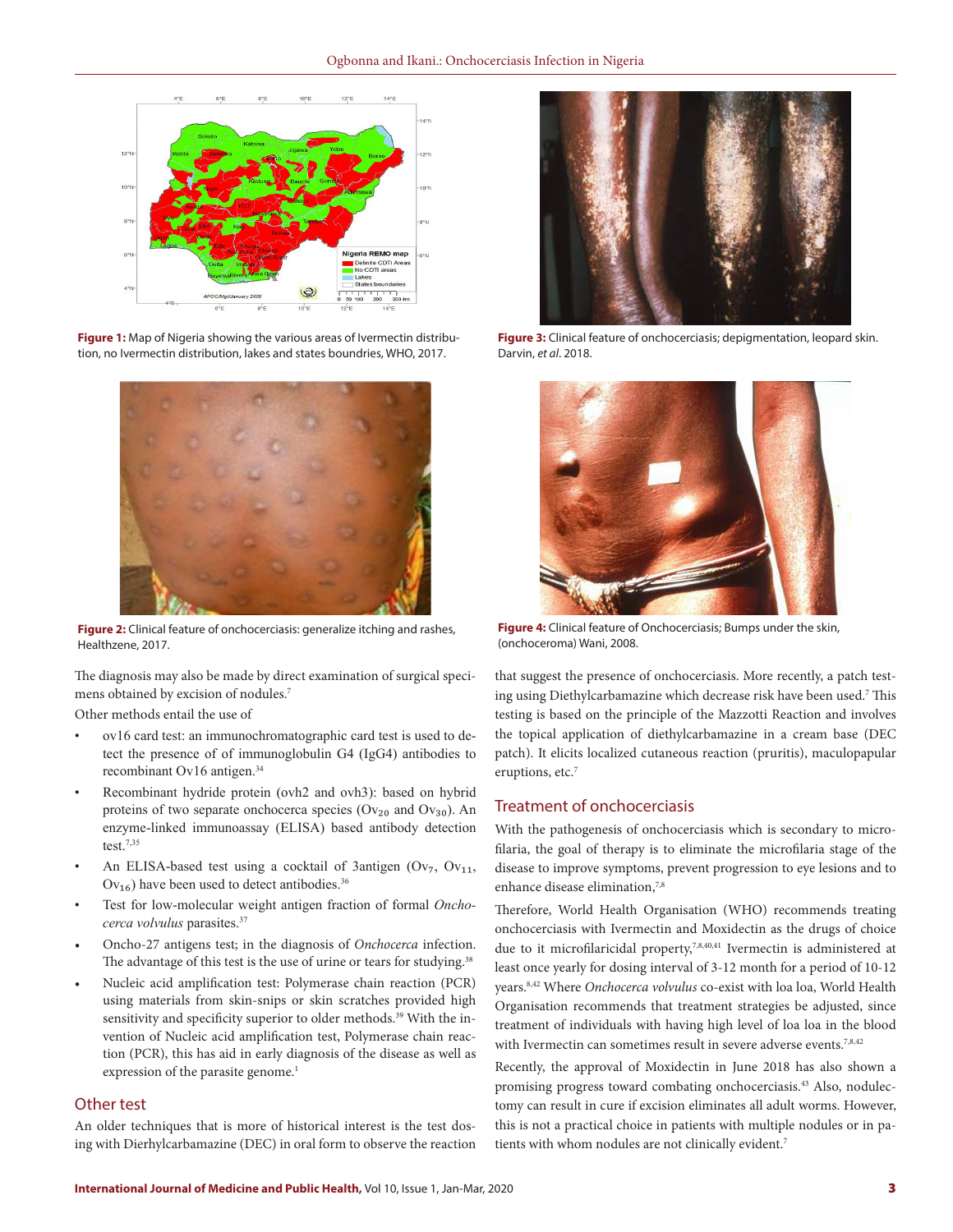

**Figure 1:** Map of Nigeria showing the various areas of Ivermectin distribution, no Ivermectin distribution, lakes and states boundries, WHO, 2017.



**Figure 2:** Clinical feature of onchocerciasis: generalize itching and rashes, Healthzene, 2017.

The diagnosis may also be made by direct examination of surgical specimens obtained by excision of nodules.7

Other methods entail the use of

- ov16 card test: an immunochromatographic card test is used to detect the presence of of immunoglobulin G4 (IgG4) antibodies to recombinant Ov16 antigen.<sup>34</sup>
- Recombinant hydride protein (ovh2 and ovh3): based on hybrid proteins of two separate onchocerca species ( $Ov_{20}$  and  $Ov_{30}$ ). An enzyme-linked immunoassay (ELISA) based antibody detection test.7,35
- An ELISA-based test using a cocktail of 3antigen  $(Ov_7, Ov_{11},$  $Ov_{16}$ ) have been used to detect antibodies.<sup>36</sup>
- Test for low-molecular weight antigen fraction of formal Oncho*cerca volvulus* parasites.37
- Oncho-27 antigens test; in the diagnosis of *Onchocerca* infection. The advantage of this test is the use of urine or tears for studying.<sup>38</sup>
- Nucleic acid amplification test: Polymerase chain reaction (PCR) using materials from skin-snips or skin scratches provided high sensitivity and specificity superior to older methods.<sup>39</sup> With the invention of Nucleic acid amplification test, Polymerase chain reaction (PCR), this has aid in early diagnosis of the disease as well as expression of the parasite genome.<sup>1</sup>

#### Other test

An older techniques that is more of historical interest is the test dosing with Dierhylcarbamazine (DEC) in oral form to observe the reaction



**Figure 3:** Clinical feature of onchocerciasis; depigmentation, leopard skin. Darvin, *et al*. 2018.



**Figure 4:** Clinical feature of Onchocerciasis; Bumps under the skin, (onchoceroma) Wani, 2008.

that suggest the presence of onchocerciasis. More recently, a patch testing using Diethylcarbamazine which decrease risk have been used.7 This testing is based on the principle of the Mazzotti Reaction and involves the topical application of diethylcarbamazine in a cream base (DEC patch). It elicits localized cutaneous reaction (pruritis), maculopapular eruptions, etc.<sup>7</sup>

## Treatment of onchocerciasis

With the pathogenesis of onchocerciasis which is secondary to microfilaria, the goal of therapy is to eliminate the microfilaria stage of the disease to improve symptoms, prevent progression to eye lesions and to enhance disease elimination,<sup>7,8</sup>

Therefore, World Health Organisation (WHO) recommends treating onchocerciasis with Ivermectin and Moxidectin as the drugs of choice due to it microfilaricidal property,<sup>7,8,40,41</sup> Ivermectin is administered at least once yearly for dosing interval of 3-12 month for a period of 10-12 years.8,42 Where *Onchocerca volvulus* co-exist with loa loa, World Health Organisation recommends that treatment strategies be adjusted, since treatment of individuals with having high level of loa loa in the blood with Ivermectin can sometimes result in severe adverse events.<sup>7,8,42</sup>

Recently, the approval of Moxidectin in June 2018 has also shown a promising progress toward combating onchocerciasis.43 Also, nodulectomy can result in cure if excision eliminates all adult worms. However, this is not a practical choice in patients with multiple nodules or in patients with whom nodules are not clinically evident.<sup>7</sup>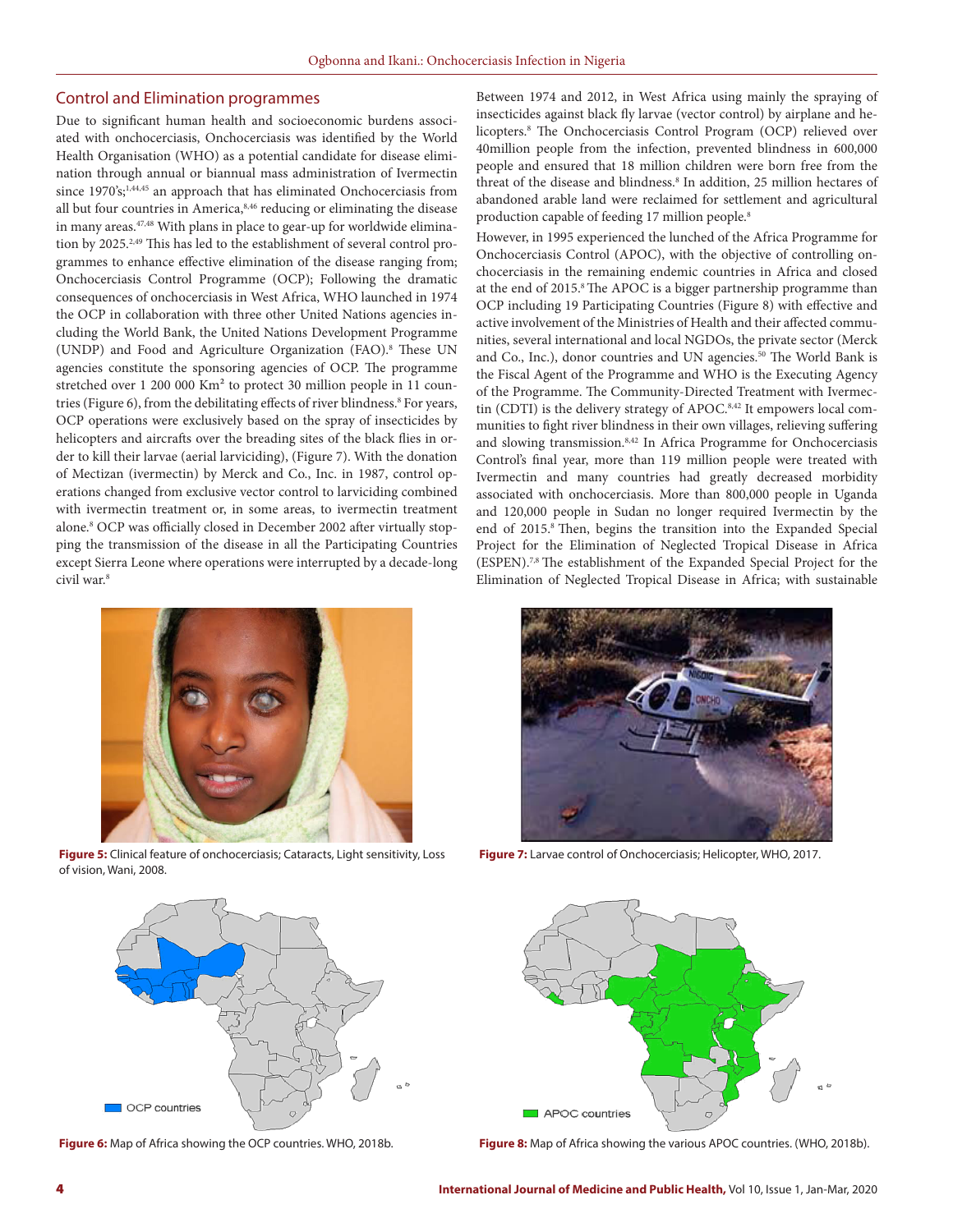#### Control and Elimination programmes

Due to significant human health and socioeconomic burdens associated with onchocerciasis, Onchocerciasis was identified by the World Health Organisation (WHO) as a potential candidate for disease elimination through annual or biannual mass administration of Ivermectin since 1970's;<sup>1,44,45</sup> an approach that has eliminated Onchocerciasis from all but four countries in America,8,46 reducing or eliminating the disease in many areas.47,48 With plans in place to gear-up for worldwide elimination by 2025.<sup>2,49</sup> This has led to the establishment of several control programmes to enhance effective elimination of the disease ranging from; Onchocerciasis Control Programme (OCP); Following the dramatic consequences of onchocerciasis in West Africa, WHO launched in 1974 the OCP in collaboration with three other United Nations agencies including the World Bank, the United Nations Development Programme (UNDP) and Food and Agriculture Organization (FAO).8 These UN agencies constitute the sponsoring agencies of OCP. The programme stretched over 1 200 000 Km² to protect 30 million people in 11 countries (Figure 6), from the debilitating effects of river blindness.<sup>8</sup> For years, OCP operations were exclusively based on the spray of insecticides by helicopters and aircrafts over the breading sites of the black flies in order to kill their larvae (aerial larviciding), (Figure 7). With the donation of Mectizan (ivermectin) by Merck and Co., Inc. in 1987, control operations changed from exclusive vector control to larviciding combined with ivermectin treatment or, in some areas, to ivermectin treatment alone.8 OCP was officially closed in December 2002 after virtually stopping the transmission of the disease in all the Participating Countries except Sierra Leone where operations were interrupted by a decade-long civil war.8



**Figure 5:** Clinical feature of onchocerciasis; Cataracts, Light sensitivity, Loss of vision, Wani, 2008.



**Figure 6:** Map of Africa showing the OCP countries. WHO, 2018b.

Between 1974 and 2012, in West Africa using mainly the spraying of insecticides against black fly larvae (vector control) by airplane and helicopters.8 The Onchocerciasis Control Program (OCP) relieved over 40million people from the infection, prevented blindness in 600,000 people and ensured that 18 million children were born free from the threat of the disease and blindness.<sup>8</sup> In addition, 25 million hectares of abandoned arable land were reclaimed for settlement and agricultural production capable of feeding 17 million people.8

However, in 1995 experienced the lunched of the Africa Programme for Onchocerciasis Control (APOC), with the objective of controlling onchocerciasis in the remaining endemic countries in Africa and closed at the end of 2015.<sup>8</sup> The APOC is a bigger partnership programme than OCP including 19 Participating Countries (Figure 8) with effective and active involvement of the Ministries of Health and their affected communities, several international and local NGDOs, the private sector (Merck and Co., Inc.), donor countries and UN agencies.<sup>50</sup> The World Bank is the Fiscal Agent of the Programme and WHO is the Executing Agency of the Programme. The Community-Directed Treatment with Ivermectin (CDTI) is the delivery strategy of APOC.<sup>8,42</sup> It empowers local communities to fight river blindness in their own villages, relieving suffering and slowing transmission.8,42 In Africa Programme for Onchocerciasis Control's final year, more than 119 million people were treated with Ivermectin and many countries had greatly decreased morbidity associated with onchocerciasis. More than 800,000 people in Uganda and 120,000 people in Sudan no longer required Ivermectin by the end of 2015.8 Then, begins the transition into the Expanded Special Project for the Elimination of Neglected Tropical Disease in Africa (ESPEN).7,8 The establishment of the Expanded Special Project for the Elimination of Neglected Tropical Disease in Africa; with sustainable



**Figure 7:** Larvae control of Onchocerciasis; Helicopter, WHO, 2017.



**Figure 8:** Map of Africa showing the various APOC countries. (WHO, 2018b).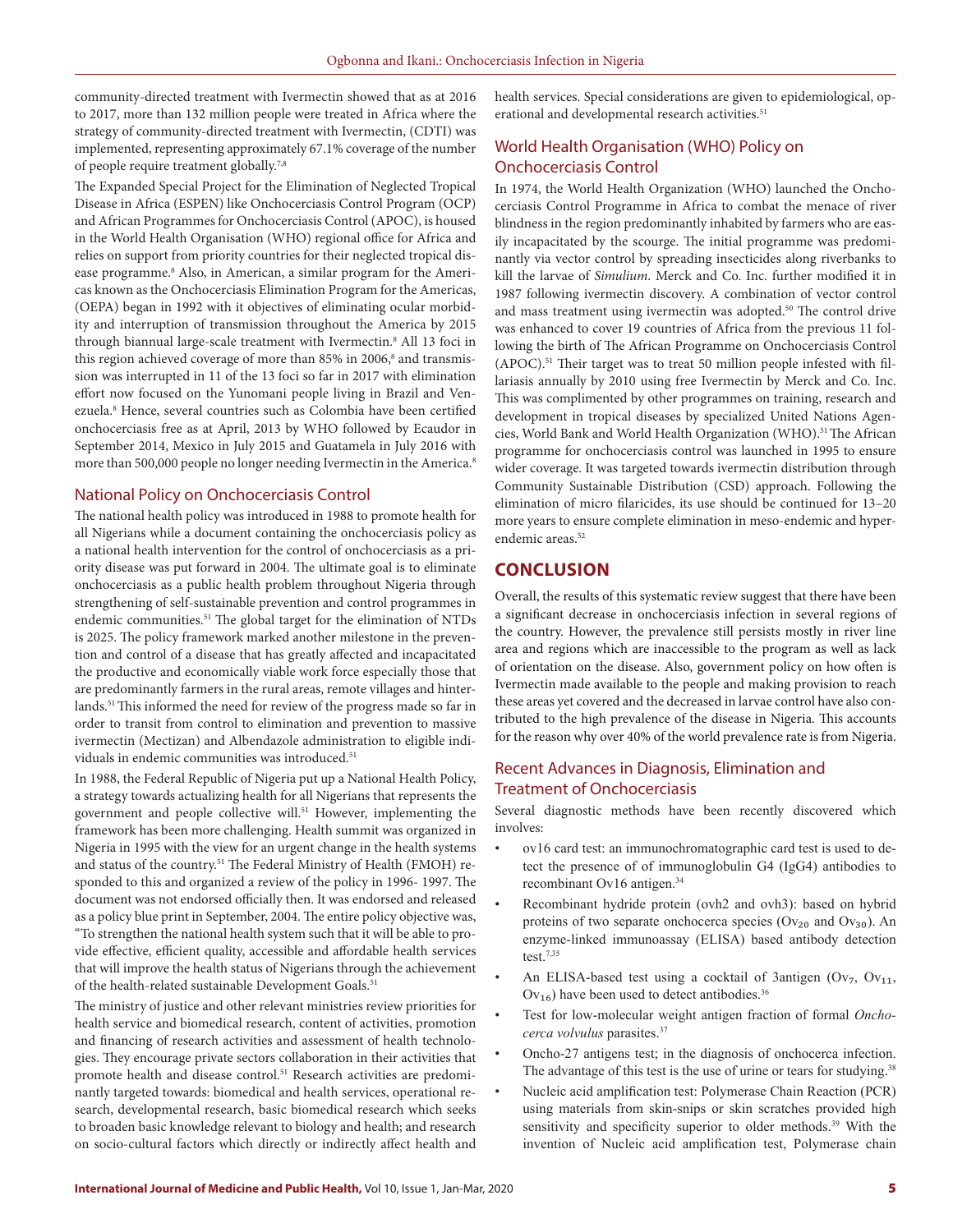community-directed treatment with Ivermectin showed that as at 2016 to 2017, more than 132 million people were treated in Africa where the strategy of community-directed treatment with Ivermectin, (CDTI) was implemented, representing approximately 67.1% coverage of the number of people require treatment globally.7,8

The Expanded Special Project for the Elimination of Neglected Tropical Disease in Africa (ESPEN) like Onchocerciasis Control Program (OCP) and African Programmes for Onchocerciasis Control (APOC), is housed in the World Health Organisation (WHO) regional office for Africa and relies on support from priority countries for their neglected tropical disease programme.<sup>8</sup> Also, in American, a similar program for the Americas known as the Onchocerciasis Elimination Program for the Americas, (OEPA) began in 1992 with it objectives of eliminating ocular morbidity and interruption of transmission throughout the America by 2015 through biannual large-scale treatment with Ivermectin.8 All 13 foci in this region achieved coverage of more than 85% in 2006,<sup>8</sup> and transmission was interrupted in 11 of the 13 foci so far in 2017 with elimination effort now focused on the Yunomani people living in Brazil and Venezuela.8 Hence, several countries such as Colombia have been certified onchocerciasis free as at April, 2013 by WHO followed by Ecaudor in September 2014, Mexico in July 2015 and Guatamela in July 2016 with more than 500,000 people no longer needing Ivermectin in the America.<sup>8</sup>

#### National Policy on Onchocerciasis Control

The national health policy was introduced in 1988 to promote health for all Nigerians while a document containing the onchocerciasis policy as a national health intervention for the control of onchocerciasis as a priority disease was put forward in 2004. The ultimate goal is to eliminate onchocerciasis as a public health problem throughout Nigeria through strengthening of self-sustainable prevention and control programmes in endemic communities.<sup>51</sup> The global target for the elimination of NTDs is 2025. The policy framework marked another milestone in the prevention and control of a disease that has greatly affected and incapacitated the productive and economically viable work force especially those that are predominantly farmers in the rural areas, remote villages and hinterlands.51 This informed the need for review of the progress made so far in order to transit from control to elimination and prevention to massive ivermectin (Mectizan) and Albendazole administration to eligible individuals in endemic communities was introduced.<sup>51</sup>

In 1988, the Federal Republic of Nigeria put up a National Health Policy, a strategy towards actualizing health for all Nigerians that represents the government and people collective will.<sup>51</sup> However, implementing the framework has been more challenging. Health summit was organized in Nigeria in 1995 with the view for an urgent change in the health systems and status of the country.<sup>51</sup> The Federal Ministry of Health (FMOH) responded to this and organized a review of the policy in 1996- 1997. The document was not endorsed officially then. It was endorsed and released as a policy blue print in September, 2004. The entire policy objective was, "To strengthen the national health system such that it will be able to provide effective, efficient quality, accessible and affordable health services that will improve the health status of Nigerians through the achievement of the health-related sustainable Development Goals.<sup>51</sup>

The ministry of justice and other relevant ministries review priorities for health service and biomedical research, content of activities, promotion and financing of research activities and assessment of health technologies. They encourage private sectors collaboration in their activities that promote health and disease control.<sup>51</sup> Research activities are predominantly targeted towards: biomedical and health services, operational research, developmental research, basic biomedical research which seeks to broaden basic knowledge relevant to biology and health; and research on socio-cultural factors which directly or indirectly affect health and

health services. Special considerations are given to epidemiological, operational and developmental research activities.<sup>51</sup>

## World Health Organisation (WHO) Policy on Onchocerciasis Control

In 1974, the World Health Organization (WHO) launched the Onchocerciasis Control Programme in Africa to combat the menace of river blindness in the region predominantly inhabited by farmers who are easily incapacitated by the scourge. The initial programme was predominantly via vector control by spreading insecticides along riverbanks to kill the larvae of *Simulium*. Merck and Co. Inc. further modified it in 1987 following ivermectin discovery. A combination of vector control and mass treatment using ivermectin was adopted.<sup>50</sup> The control drive was enhanced to cover 19 countries of Africa from the previous 11 following the birth of The African Programme on Onchocerciasis Control (APOC).51 Their target was to treat 50 million people infested with fillariasis annually by 2010 using free Ivermectin by Merck and Co. Inc. This was complimented by other programmes on training, research and development in tropical diseases by specialized United Nations Agencies, World Bank and World Health Organization (WHO).<sup>51</sup> The African programme for onchocerciasis control was launched in 1995 to ensure wider coverage. It was targeted towards ivermectin distribution through Community Sustainable Distribution (CSD) approach. Following the elimination of micro filaricides, its use should be continued for 13–20 more years to ensure complete elimination in meso-endemic and hyperendemic areas.<sup>52</sup>

## **CONCLUSION**

Overall, the results of this systematic review suggest that there have been a significant decrease in onchocerciasis infection in several regions of the country. However, the prevalence still persists mostly in river line area and regions which are inaccessible to the program as well as lack of orientation on the disease. Also, government policy on how often is Ivermectin made available to the people and making provision to reach these areas yet covered and the decreased in larvae control have also contributed to the high prevalence of the disease in Nigeria. This accounts for the reason why over 40% of the world prevalence rate is from Nigeria.

## Recent Advances in Diagnosis, Elimination and Treatment of Onchocerciasis

Several diagnostic methods have been recently discovered which involves:

- ov16 card test: an immunochromatographic card test is used to detect the presence of of immunoglobulin G4 (IgG4) antibodies to recombinant Ov16 antigen.<sup>34</sup>
- Recombinant hydride protein (ovh2 and ovh3): based on hybrid proteins of two separate onchocerca species ( $Ov_{20}$  and  $Ov_{30}$ ). An enzyme-linked immunoassay (ELISA) based antibody detection test.7,35
- An ELISA-based test using a cocktail of 3antigen (Ov<sub>7</sub>, Ov<sub>11</sub>,  $Ov_{16}$ ) have been used to detect antibodies.<sup>36</sup>
- Test for low-molecular weight antigen fraction of formal *Onchocerca volvulus* parasites.37
- Oncho-27 antigens test; in the diagnosis of onchocerca infection. The advantage of this test is the use of urine or tears for studying.<sup>38</sup>
- Nucleic acid amplification test: Polymerase Chain Reaction (PCR) using materials from skin-snips or skin scratches provided high sensitivity and specificity superior to older methods.<sup>39</sup> With the invention of Nucleic acid amplification test, Polymerase chain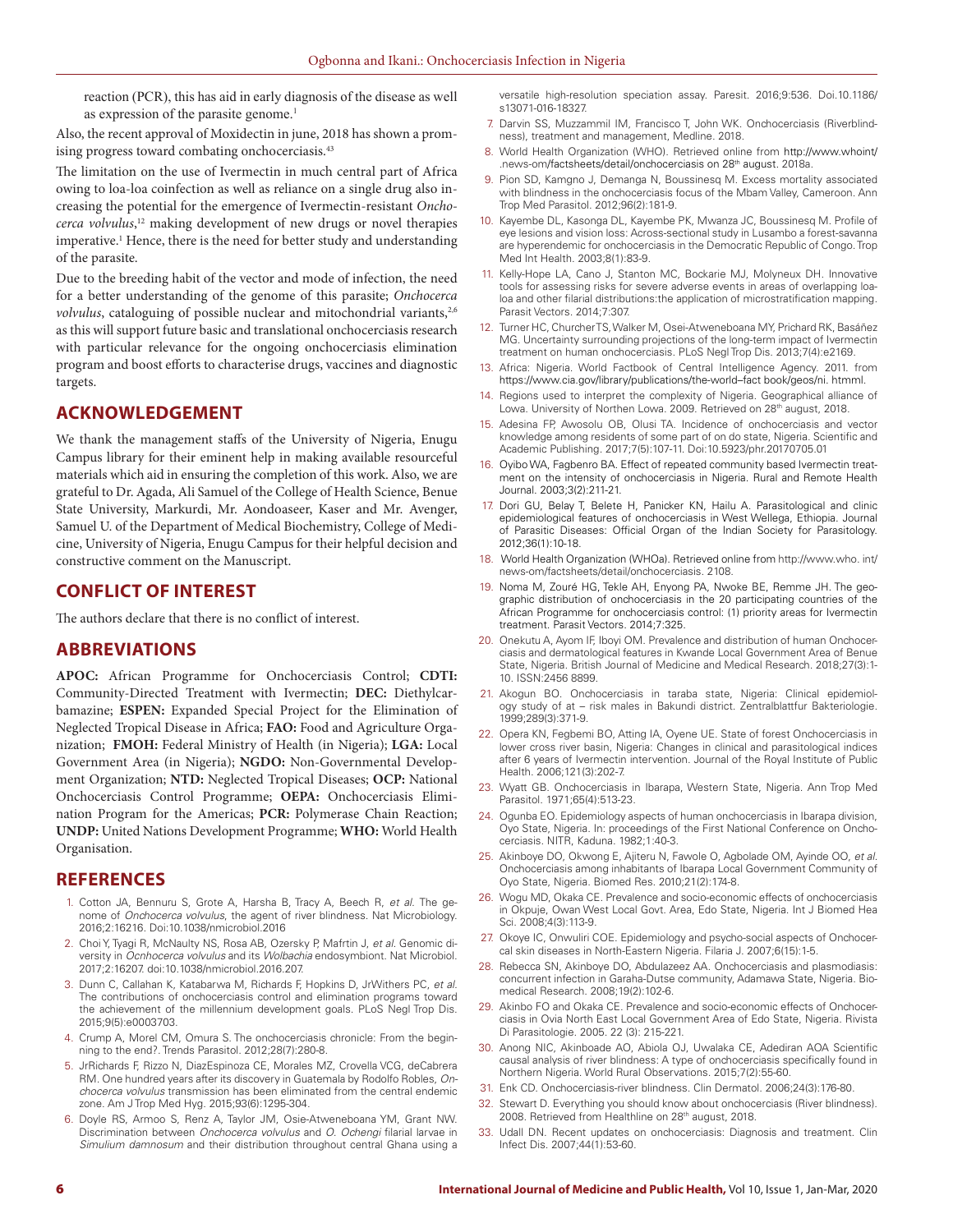reaction (PCR), this has aid in early diagnosis of the disease as well as expression of the parasite genome.<sup>1</sup>

Also, the recent approval of Moxidectin in june, 2018 has shown a promising progress toward combating onchocerciasis.<sup>43</sup>

The limitation on the use of Ivermectin in much central part of Africa owing to loa-loa coinfection as well as reliance on a single drug also increasing the potential for the emergence of Ivermectin-resistant *Onchocerca volvulus*, 12 making development of new drugs or novel therapies imperative.<sup>1</sup> Hence, there is the need for better study and understanding of the parasite.

Due to the breeding habit of the vector and mode of infection, the need for a better understanding of the genome of this parasite; *Onchocerca volvulus*, cataloguing of possible nuclear and mitochondrial variants,<sup>2,6</sup> as this will support future basic and translational onchocerciasis research with particular relevance for the ongoing onchocerciasis elimination program and boost efforts to characterise drugs, vaccines and diagnostic targets.

## **ACKNOWLEDGEMENT**

We thank the management staffs of the University of Nigeria, Enugu Campus library for their eminent help in making available resourceful materials which aid in ensuring the completion of this work. Also, we are grateful to Dr. Agada, Ali Samuel of the College of Health Science, Benue State University, Markurdi, Mr. Aondoaseer, Kaser and Mr. Avenger, Samuel U. of the Department of Medical Biochemistry, College of Medicine, University of Nigeria, Enugu Campus for their helpful decision and constructive comment on the Manuscript.

## **CONFLICT OF INTEREST**

The authors declare that there is no conflict of interest.

## **ABBREVIATIONS**

**APOC:** African Programme for Onchocerciasis Control; **CDTI:**  Community-Directed Treatment with Ivermectin; **DEC:** Diethylcarbamazine; **ESPEN:** Expanded Special Project for the Elimination of Neglected Tropical Disease in Africa; **FAO:** Food and Agriculture Organization; **FMOH:** Federal Ministry of Health (in Nigeria); **LGA:** Local Government Area (in Nigeria); **NGDO:** Non-Governmental Development Organization; **NTD:** Neglected Tropical Diseases; **OCP:** National Onchocerciasis Control Programme; **OEPA:** Onchocerciasis Elimination Program for the Americas; **PCR:** Polymerase Chain Reaction; **UNDP:** United Nations Development Programme; **WHO:** World Health Organisation.

## **REFERENCES**

- 1. Cotton JA, Bennuru S, Grote A, Harsha B, Tracy A, Beech R, *et al.* The genome of *Onchocerca volvulus*, the agent of river blindness. Nat Microbiology. 2016;2:16216. Doi:10.1038/nmicrobiol.2016
- 2. Choi Y, Tyagi R, McNaulty NS, Rosa AB, Ozersky P, Mafrtin J, *et al.* Genomic diversity in *Ocnhocerca volvulus* and its *Wolbachia* endosymbiont. Nat Microbiol. 2017;2:16207. doi:10.1038/nmicrobiol.2016.207.
- 3. Dunn C, Callahan K, Katabarwa M, Richards F, Hopkins D, JrWithers PC, *et al.*  The contributions of onchocerciasis control and elimination programs toward the achievement of the millennium development goals. PLoS Negl Trop Dis. 2015;9(5):e0003703.
- 4. Crump A, Morel CM, Omura S. The onchocerciasis chronicle: From the beginning to the end?. Trends Parasitol. 2012;28(7):280-8.
- 5. JrRichards F, Rizzo N, DiazEspinoza CE, Morales MZ, Crovella VCG, deCabrera RM. One hundred years after its discovery in Guatemala by Rodolfo Robles, *Onchocerca volvulus* transmission has been eliminated from the central endemic zone. Am J Trop Med Hyg. 2015;93(6):1295-304.
- 6. Doyle RS, Armoo S, Renz A, Taylor JM, Osie-Atweneboana YM, Grant NW. Discrimination between *Onchocerca volvulus* and *O. Ochengi* filarial larvae in *Simulium damnosum* and their distribution throughout central Ghana using a

versatile high-resolution speciation assay. Paresit. 2016;9:536. Doi.10.1186/ s13071-016-18327.

- 7. Darvin SS, Muzzammil IM, Francisco T, John WK. Onchocerciasis (Riverblindness), treatment and management, Medline. 2018.
- 8. World Health Organization (WHO). Retrieved online from http://www.whoint/ .news-om/factsheets/detail/onchocerciasis on 28th august. 2018a.
- 9. Pion SD, Kamgno J, Demanga N, Boussinesq M. Excess mortality associated with blindness in the onchocerciasis focus of the Mbam Valley, Cameroon. Ann Trop Med Parasitol. 2012;96(2):181-9.
- 10. Kayembe DL, Kasonga DL, Kayembe PK, Mwanza JC, Boussinesq M. Profile of eye lesions and vision loss: Across-sectional study in Lusambo a forest-savanna are hyperendemic for onchocerciasis in the Democratic Republic of Congo. Trop Med Int Health. 2003;8(1):83-9.
- 11. Kelly-Hope LA, Cano J, Stanton MC, Bockarie MJ, Molyneux DH. Innovative tools for assessing risks for severe adverse events in areas of overlapping loaloa and other filarial distributions:the application of microstratification mapping. Parasit Vectors. 2014;7:307.
- 12. Turner HC, Churcher TS, Walker M, Osei-Atweneboana MY, Prichard RK, Basáñez MG. Uncertainty surrounding projections of the long-term impact of Ivermectin treatment on human onchocerciasis. PLoS Negl Trop Dis. 2013;7(4):e2169.
- 13. Africa: Nigeria. World Factbook of Central Intelligence Agency. 2011. from https://www.cia.gov/library/publications/the-world–fact book/geos/ni. htmml.
- 14. Regions used to interpret the complexity of Nigeria. Geographical alliance of Lowa. University of Northen Lowa. 2009. Retrieved on 28th august, 2018.
- 15. Adesina FP, Awosolu OB, Olusi TA. Incidence of onchocerciasis and vector knowledge among residents of some part of on do state, Nigeria. Scientific and Academic Publishing. 2017;7(5):107-11. Doi:10.5923/phr.20170705.01
- 16. Oyibo WA, Fagbenro BA. Effect of repeated community based Ivermectin treatment on the intensity of onchocerciasis in Nigeria. Rural and Remote Health Journal. 2003;3(2):211-21.
- 17. Dori GU, Belay T, Belete H, Panicker KN, Hailu A. Parasitological and clinic epidemiological features of onchocerciasis in West Wellega, Ethiopia. Journal of Parasitic Diseases: Official Organ of the Indian Society for Parasitology. 2012;36(1):10-18.
- 18. World Health Organization (WHOa). Retrieved online from http://www.who. int/ news-om/factsheets/detail/onchocerciasis. 2108.
- 19. Noma M, Zouré HG, Tekle AH, Enyong PA, Nwoke BE, Remme JH. The geographic distribution of onchocerciasis in the 20 participating countries of the African Programme for onchocerciasis control: (1) priority areas for Ivermectin treatment. Parasit Vectors. 2014;7:325.
- 20. Onekutu A, Ayom IF, Iboyi OM. Prevalence and distribution of human Onchocerciasis and dermatological features in Kwande Local Government Area of Benue State, Nigeria. British Journal of Medicine and Medical Research. 2018;27(3):1- 10. ISSN:2456 8899.
- 21. Akogun BO. Onchocerciasis in taraba state, Nigeria: Clinical epidemiology study of at – risk males in Bakundi district. Zentralblattfur Bakteriologie. 1999;289(3):371-9.
- 22. Opera KN, Fegbemi BO, Atting IA, Oyene UE. State of forest Onchocerciasis in lower cross river basin, Nigeria: Changes in clinical and parasitological indices after 6 years of Ivermectin intervention. Journal of the Royal Institute of Public Health. 2006;121(3):202-7.
- 23. Wyatt GB. Onchocerciasis in Ibarapa, Western State, Nigeria. Ann Trop Med Parasitol. 1971;65(4):513-23.
- 24. Ogunba EO. Epidemiology aspects of human onchocerciasis in Ibarapa division, Oyo State, Nigeria. In: proceedings of the First National Conference on Onchocerciasis. NITR, Kaduna. 1982;1:40-3.
- 25. Akinboye DO, Okwong E, Ajiteru N, Fawole O, Agbolade OM, Ayinde OO, *et al.*  Onchocerciasis among inhabitants of Ibarapa Local Government Community of Oyo State, Nigeria. Biomed Res. 2010;21(2):174-8.
- 26. Wogu MD, Okaka CE. Prevalence and socio-economic effects of onchocerciasis in Okpuje, Owan West Local Govt. Area, Edo State, Nigeria. Int J Biomed Hea Sci. 2008;4(3):113-9.
- 27. Okoye IC, Onwuliri COE. Epidemiology and psycho-social aspects of Onchocercal skin diseases in North-Eastern Nigeria. Filaria J. 2007;6(15):1-5.
- 28. Rebecca SN, Akinboye DO, Abdulazeez AA. Onchocerciasis and plasmodiasis: concurrent infection in Garaha-Dutse community, Adamawa State, Nigeria. Biomedical Research. 2008;19(2):102-6.
- 29. Akinbo FO and Okaka CE. Prevalence and socio-economic effects of Onchocerciasis in Ovia North East Local Government Area of Edo State, Nigeria. Rivista Di Parasitologie. 2005. 22 (3): 215-221.
- 30. Anong NIC, Akinboade AO, Abiola OJ, Uwalaka CE, Adediran AOA Scientific causal analysis of river blindness: A type of onchocerciasis specifically found in Northern Nigeria. World Rural Observations. 2015;7(2):55-60.
- 31. Enk CD. Onchocerciasis-river blindness. Clin Dermatol. 2006;24(3):176-80.
- Stewart D. Everything you should know about onchocerciasis (River blindness). 2008. Retrieved from Healthline on 28th august, 2018.
- 33. Udall DN. Recent updates on onchocerciasis: Diagnosis and treatment. Clin Infect Dis. 2007;44(1):53-60.